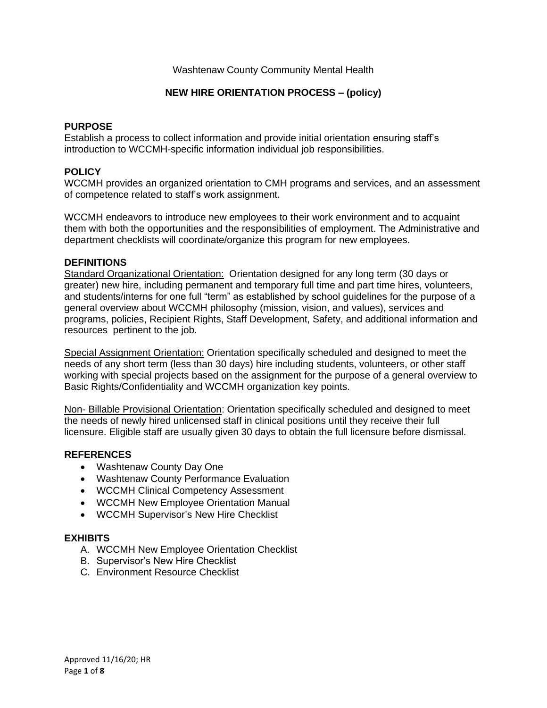# Washtenaw County Community Mental Health

# **NEW HIRE ORIENTATION PROCESS – (policy)**

#### **PURPOSE**

Establish a process to collect information and provide initial orientation ensuring staff's introduction to WCCMH-specific information individual job responsibilities.

## **POLICY**

WCCMH provides an organized orientation to CMH programs and services, and an assessment of competence related to staff's work assignment.

WCCMH endeavors to introduce new employees to their work environment and to acquaint them with both the opportunities and the responsibilities of employment. The Administrative and department checklists will coordinate/organize this program for new employees.

### **DEFINITIONS**

Standard Organizational Orientation: Orientation designed for any long term (30 days or greater) new hire, including permanent and temporary full time and part time hires, volunteers, and students/interns for one full "term" as established by school guidelines for the purpose of a general overview about WCCMH philosophy (mission, vision, and values), services and programs, policies, Recipient Rights, Staff Development, Safety, and additional information and resources pertinent to the job.

Special Assignment Orientation: Orientation specifically scheduled and designed to meet the needs of any short term (less than 30 days) hire including students, volunteers, or other staff working with special projects based on the assignment for the purpose of a general overview to Basic Rights/Confidentiality and WCCMH organization key points.

Non- Billable Provisional Orientation: Orientation specifically scheduled and designed to meet the needs of newly hired unlicensed staff in clinical positions until they receive their full licensure. Eligible staff are usually given 30 days to obtain the full licensure before dismissal.

### **REFERENCES**

- Washtenaw County Day One
- Washtenaw County Performance Evaluation
- WCCMH Clinical Competency Assessment
- WCCMH New Employee Orientation Manual
- WCCMH Supervisor's New Hire Checklist

### **EXHIBITS**

- A. WCCMH New Employee Orientation Checklist
- B. Supervisor's New Hire Checklist
- C. Environment Resource Checklist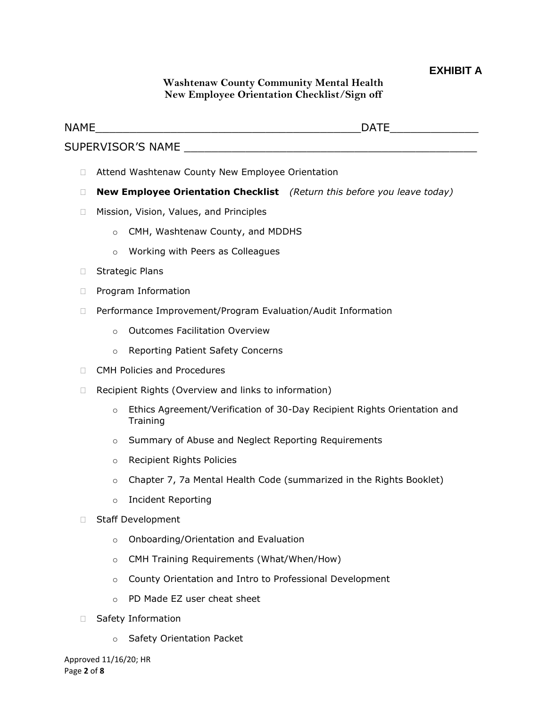# **EXHIBIT A**

# **Washtenaw County Community Mental Health New Employee Orientation Checklist/Sign off**

| NAME         | <b>DATE</b>                                                                    |  |
|--------------|--------------------------------------------------------------------------------|--|
|              |                                                                                |  |
| П            | Attend Washtenaw County New Employee Orientation                               |  |
| П            | <b>New Employee Orientation Checklist</b> (Return this before you leave today) |  |
| □            | Mission, Vision, Values, and Principles                                        |  |
|              | CMH, Washtenaw County, and MDDHS<br>$\circ$                                    |  |
|              | Working with Peers as Colleagues<br>$\circ$                                    |  |
| $\mathbf{L}$ | <b>Strategic Plans</b>                                                         |  |
| П            | Program Information                                                            |  |
| П            | Performance Improvement/Program Evaluation/Audit Information                   |  |
|              | <b>Outcomes Facilitation Overview</b><br>$\circ$                               |  |
|              | Reporting Patient Safety Concerns<br>$\circ$                                   |  |
| $\Box$       | <b>CMH Policies and Procedures</b>                                             |  |
|              | Recipient Rights (Overview and links to information)                           |  |
|              |                                                                                |  |

- o Ethics Agreement/Verification of 30-Day Recipient Rights Orientation and **Training**
- o Summary of Abuse and Neglect Reporting Requirements
- o Recipient Rights Policies
- o Chapter 7, 7a Mental Health Code (summarized in the Rights Booklet)
- o Incident Reporting
- □ Staff Development
	- o Onboarding/Orientation and Evaluation
	- o CMH Training Requirements (What/When/How)
	- o County Orientation and Intro to Professional Development
	- o PD Made EZ user cheat sheet
- □ Safety Information
	- o Safety Orientation Packet

Approved 11/16/20; HR Page **2** of **8**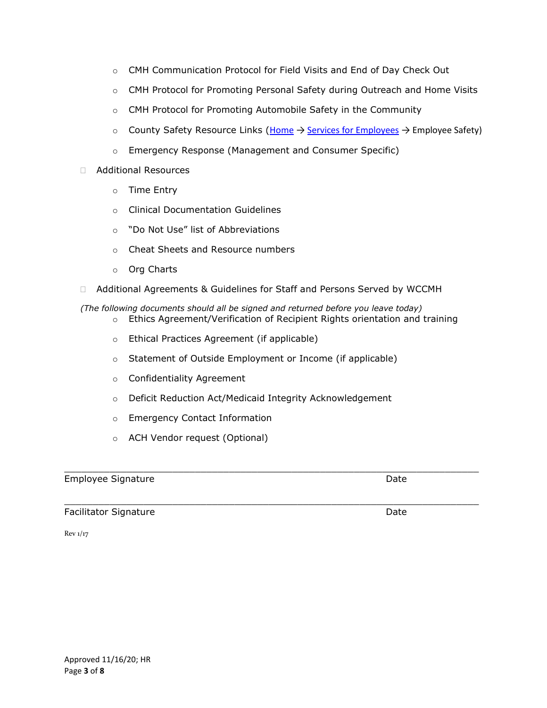- o CMH Communication Protocol for Field Visits and End of Day Check Out
- o CMH Protocol for Promoting Personal Safety during Outreach and Home Visits
- o CMH Protocol for Promoting Automobile Safety in the Community
- o County Safety Resource Links ([Home](https://employee.ewashtenaw.org/) → [Services for Employees](https://employee.ewashtenaw.org/individual_employee_services) → Employee Safety)
- o Emergency Response (Management and Consumer Specific)
- Additional Resources
	- o Time Entry
	- o Clinical Documentation Guidelines
	- o "Do Not Use" list of Abbreviations
	- o Cheat Sheets and Resource numbers
	- o Org Charts
- □ Additional Agreements & Guidelines for Staff and Persons Served by WCCMH
- *(The following documents should all be signed and returned before you leave today)*  $\circ$  Ethics Agreement/Verification of Recipient Rights orientation and training
	- o Ethical Practices Agreement (if applicable)
	- o Statement of Outside Employment or Income (if applicable)
	- o Confidentiality Agreement
	- o Deficit Reduction Act/Medicaid Integrity Acknowledgement

 $\_$  ,  $\_$  ,  $\_$  ,  $\_$  ,  $\_$  ,  $\_$  ,  $\_$  ,  $\_$  ,  $\_$  ,  $\_$  ,  $\_$  ,  $\_$  ,  $\_$  ,  $\_$  ,  $\_$  ,  $\_$  ,  $\_$  ,  $\_$  ,  $\_$  ,  $\_$  ,  $\_$  ,  $\_$  ,  $\_$  ,  $\_$  ,  $\_$  ,  $\_$  ,  $\_$  ,  $\_$  ,  $\_$  ,  $\_$  ,  $\_$  ,  $\_$  ,  $\_$  ,  $\_$  ,  $\_$  ,  $\_$  ,  $\_$  ,

- o Emergency Contact Information
- o ACH Vendor request (Optional)

#### Employee Signature **Date** Date of *Employee* Signature **Date**

 $\_$  ,  $\_$  ,  $\_$  ,  $\_$  ,  $\_$  ,  $\_$  ,  $\_$  ,  $\_$  ,  $\_$  ,  $\_$  ,  $\_$  ,  $\_$  ,  $\_$  ,  $\_$  ,  $\_$  ,  $\_$  ,  $\_$  ,  $\_$  ,  $\_$  ,  $\_$  ,  $\_$  ,  $\_$  ,  $\_$  ,  $\_$  ,  $\_$  ,  $\_$  ,  $\_$  ,  $\_$  ,  $\_$  ,  $\_$  ,  $\_$  ,  $\_$  ,  $\_$  ,  $\_$  ,  $\_$  ,  $\_$  ,  $\_$  , Facilitator Signature **Date** Date of *Each Control* Date Date

Rev 1/17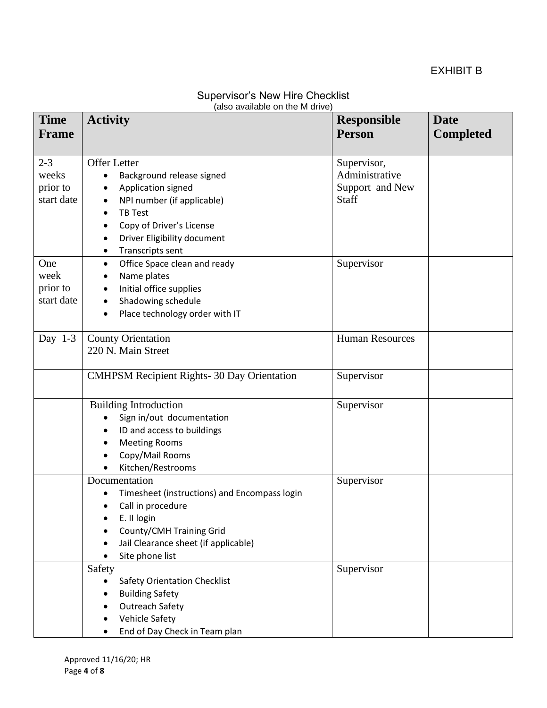| <b>Supervisor's New Hire Checklist</b> |
|----------------------------------------|
| (also available on the M drive)        |

| <b>Time</b><br><b>Frame</b> | <b>Activity</b>                                   | <b>Responsible</b><br><b>Person</b> | <b>Date</b><br><b>Completed</b> |
|-----------------------------|---------------------------------------------------|-------------------------------------|---------------------------------|
|                             |                                                   |                                     |                                 |
| $2 - 3$                     | <b>Offer Letter</b>                               | Supervisor,                         |                                 |
| weeks                       | Background release signed<br>٠                    | Administrative                      |                                 |
| prior to                    | Application signed<br>$\bullet$                   | Support and New                     |                                 |
| start date                  | NPI number (if applicable)<br>٠                   | Staff                               |                                 |
|                             | <b>TB Test</b><br>$\bullet$                       |                                     |                                 |
|                             | Copy of Driver's License<br>$\bullet$             |                                     |                                 |
|                             | Driver Eligibility document                       |                                     |                                 |
|                             | Transcripts sent<br>٠                             |                                     |                                 |
| One                         | Office Space clean and ready<br>$\bullet$         | Supervisor                          |                                 |
| week                        | Name plates<br>٠                                  |                                     |                                 |
| prior to                    | Initial office supplies<br>٠                      |                                     |                                 |
| start date                  | Shadowing schedule<br>$\bullet$                   |                                     |                                 |
|                             | Place technology order with IT<br>$\bullet$       |                                     |                                 |
|                             |                                                   |                                     |                                 |
| Day $1-3$                   | <b>County Orientation</b>                         | <b>Human Resources</b>              |                                 |
|                             | 220 N. Main Street                                |                                     |                                 |
|                             | <b>CMHPSM Recipient Rights-30 Day Orientation</b> | Supervisor                          |                                 |
|                             |                                                   |                                     |                                 |
|                             | <b>Building Introduction</b>                      | Supervisor                          |                                 |
|                             | Sign in/out documentation                         |                                     |                                 |
|                             | ID and access to buildings<br>٠                   |                                     |                                 |
|                             | <b>Meeting Rooms</b><br>$\bullet$                 |                                     |                                 |
|                             | Copy/Mail Rooms<br>$\bullet$                      |                                     |                                 |
|                             | Kitchen/Restrooms<br>$\bullet$                    |                                     |                                 |
|                             | Documentation                                     | Supervisor                          |                                 |
|                             | Timesheet (instructions) and Encompass login      |                                     |                                 |
|                             | Call in procedure<br>$\bullet$                    |                                     |                                 |
|                             | E. II login                                       |                                     |                                 |
|                             | County/CMH Training Grid                          |                                     |                                 |
|                             | Jail Clearance sheet (if applicable)<br>$\bullet$ |                                     |                                 |
|                             | Site phone list                                   |                                     |                                 |
|                             | Safety                                            | Supervisor                          |                                 |
|                             | <b>Safety Orientation Checklist</b><br>٠          |                                     |                                 |
|                             | <b>Building Safety</b>                            |                                     |                                 |
|                             | <b>Outreach Safety</b>                            |                                     |                                 |
|                             | Vehicle Safety<br>٠                               |                                     |                                 |
|                             | End of Day Check in Team plan                     |                                     |                                 |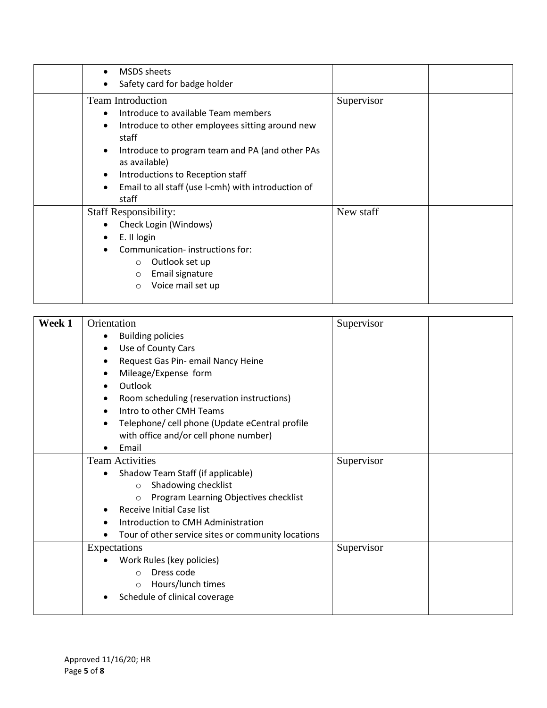| $\bullet$<br>$\bullet$                                        | <b>MSDS</b> sheets<br>Safety card for badge holder                                                                                                                                                                                                                                                  |            |
|---------------------------------------------------------------|-----------------------------------------------------------------------------------------------------------------------------------------------------------------------------------------------------------------------------------------------------------------------------------------------------|------------|
| $\bullet$<br>$\bullet$<br>$\bullet$<br>$\bullet$<br>$\bullet$ | <b>Team Introduction</b><br>Introduce to available Team members<br>Introduce to other employees sitting around new<br>staff<br>Introduce to program team and PA (and other PAs<br>as available)<br>Introductions to Reception staff<br>Email to all staff (use I-cmh) with introduction of<br>staff | Supervisor |
| $\bullet$<br>$\bullet$                                        | <b>Staff Responsibility:</b><br>Check Login (Windows)<br>E. II login<br>Communication-instructions for:<br>Outlook set up<br>$\circ$<br>Email signature<br>$\circ$<br>Voice mail set up<br>$\circ$                                                                                                  | New staff  |

| Week 1 | Orientation                                        | Supervisor |  |
|--------|----------------------------------------------------|------------|--|
|        | <b>Building policies</b>                           |            |  |
|        | Use of County Cars<br>٠                            |            |  |
|        | Request Gas Pin- email Nancy Heine<br>٠            |            |  |
|        | Mileage/Expense form<br>$\bullet$                  |            |  |
|        | Outlook                                            |            |  |
|        | Room scheduling (reservation instructions)<br>٠    |            |  |
|        | Intro to other CMH Teams                           |            |  |
|        | Telephone/ cell phone (Update eCentral profile     |            |  |
|        | with office and/or cell phone number)              |            |  |
|        | Email                                              |            |  |
|        | <b>Team Activities</b>                             | Supervisor |  |
|        | Shadow Team Staff (if applicable)                  |            |  |
|        | Shadowing checklist<br>$\circ$                     |            |  |
|        | Program Learning Objectives checklist<br>$\circ$   |            |  |
|        | Receive Initial Case list                          |            |  |
|        | Introduction to CMH Administration                 |            |  |
|        | Tour of other service sites or community locations |            |  |
|        | Expectations                                       | Supervisor |  |
|        | Work Rules (key policies)                          |            |  |
|        | Dress code<br>$\Omega$                             |            |  |
|        | Hours/lunch times<br>$\circ$                       |            |  |
|        | Schedule of clinical coverage                      |            |  |
|        |                                                    |            |  |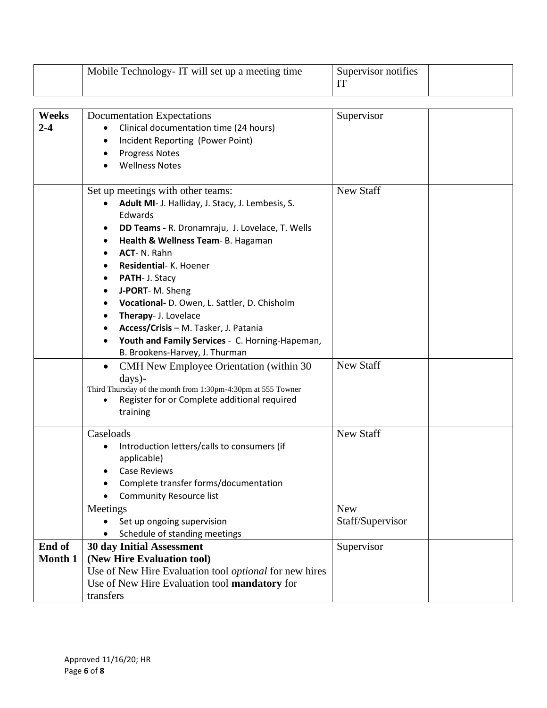|                         | Mobile Technology-IT will set up a meeting time                                                                                                                                                                                                                                                                                                                                                                                                                                                   | Supervisor notifies<br>IT      |
|-------------------------|---------------------------------------------------------------------------------------------------------------------------------------------------------------------------------------------------------------------------------------------------------------------------------------------------------------------------------------------------------------------------------------------------------------------------------------------------------------------------------------------------|--------------------------------|
|                         |                                                                                                                                                                                                                                                                                                                                                                                                                                                                                                   |                                |
| <b>Weeks</b><br>$2 - 4$ | <b>Documentation Expectations</b><br>Clinical documentation time (24 hours)<br>Incident Reporting (Power Point)<br>٠<br><b>Progress Notes</b><br><b>Wellness Notes</b>                                                                                                                                                                                                                                                                                                                            | Supervisor                     |
|                         | Set up meetings with other teams:<br>Adult MI- J. Halliday, J. Stacy, J. Lembesis, S.<br>$\bullet$<br>Edwards<br>DD Teams - R. Dronamraju, J. Lovelace, T. Wells<br>Health & Wellness Team- B. Hagaman<br><b>ACT-N. Rahn</b><br>Residential- K. Hoener<br>PATH- J. Stacy<br>J-PORT-M. Sheng<br>Vocational- D. Owen, L. Sattler, D. Chisholm<br>Therapy- J. Lovelace<br>Access/Crisis - M. Tasker, J. Patania<br>Youth and Family Services - C. Horning-Hapeman,<br>B. Brookens-Harvey, J. Thurman | <b>New Staff</b>               |
|                         | CMH New Employee Orientation (within 30)<br>$\bullet$<br>days)-<br>Third Thursday of the month from 1:30pm-4:30pm at 555 Towner<br>Register for or Complete additional required<br>training                                                                                                                                                                                                                                                                                                       | <b>New Staff</b>               |
|                         | Caseloads<br>Introduction letters/calls to consumers (if<br>applicable)<br><b>Case Reviews</b><br>Complete transfer forms/documentation<br><b>Community Resource list</b>                                                                                                                                                                                                                                                                                                                         | New Staff                      |
|                         | Meetings<br>Set up ongoing supervision<br>Schedule of standing meetings                                                                                                                                                                                                                                                                                                                                                                                                                           | <b>New</b><br>Staff/Supervisor |
| End of<br>Month 1       | <b>30 day Initial Assessment</b><br>(New Hire Evaluation tool)<br>Use of New Hire Evaluation tool <i>optional</i> for new hires<br>Use of New Hire Evaluation tool mandatory for<br>transfers                                                                                                                                                                                                                                                                                                     | Supervisor                     |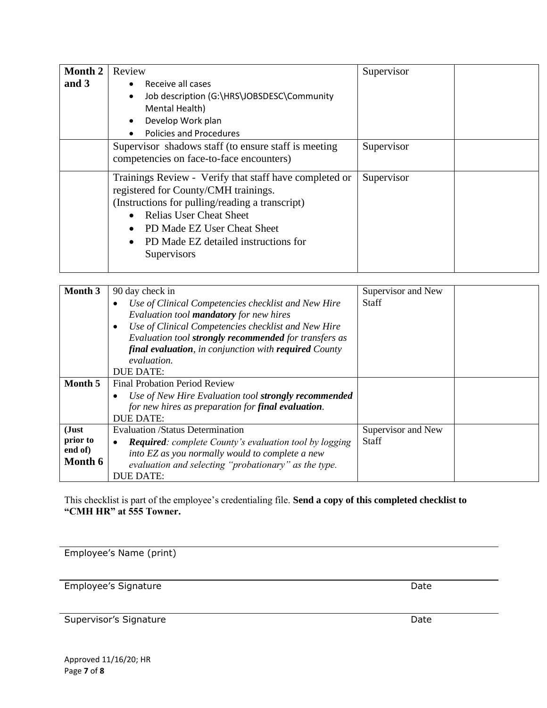| Month 2<br>and 3 | Review                                                                                                                                                                                                                                                                              | Supervisor |  |
|------------------|-------------------------------------------------------------------------------------------------------------------------------------------------------------------------------------------------------------------------------------------------------------------------------------|------------|--|
|                  | Receive all cases<br>$\bullet$<br>Job description (G:\HRS\JOBSDESC\Community<br>$\bullet$<br>Mental Health)<br>Develop Work plan<br>$\bullet$<br>Policies and Procedures                                                                                                            |            |  |
|                  | Supervisor shadows staff (to ensure staff is meeting<br>competencies on face-to-face encounters)                                                                                                                                                                                    | Supervisor |  |
|                  | Trainings Review - Verify that staff have completed or<br>registered for County/CMH trainings.<br>(Instructions for pulling/reading a transcript)<br>• Relias User Cheat Sheet<br>PD Made EZ User Cheat Sheet<br>$\bullet$<br>• PD Made EZ detailed instructions for<br>Supervisors | Supervisor |  |

| Month 3                                 | 90 day check in<br>Use of Clinical Competencies checklist and New Hire<br>Evaluation tool <b>mandatory</b> for new hires<br>Use of Clinical Competencies checklist and New Hire<br>Evaluation tool strongly recommended for transfers as<br>final evaluation, in conjunction with required County<br>evaluation.<br>DUE DATE: | Supervisor and New<br><b>Staff</b> |
|-----------------------------------------|-------------------------------------------------------------------------------------------------------------------------------------------------------------------------------------------------------------------------------------------------------------------------------------------------------------------------------|------------------------------------|
| Month 5                                 | <b>Final Probation Period Review</b><br>Use of New Hire Evaluation tool strongly recommended<br>for new hires as preparation for final evaluation.<br>DUE DATE:                                                                                                                                                               |                                    |
| (Just<br>prior to<br>end of)<br>Month 6 | <b>Evaluation /Status Determination</b><br><b>Required:</b> complete County's evaluation tool by logging<br>into EZ as you normally would to complete a new<br>evaluation and selecting "probationary" as the type.<br>DUE DATE:                                                                                              | Supervisor and New<br><b>Staff</b> |

This checklist is part of the employee's credentialing file. **Send a copy of this completed checklist to "CMH HR" at 555 Towner.**

Employee's Name (print)

Employee's Signature Date

Supervisor's Signature Date